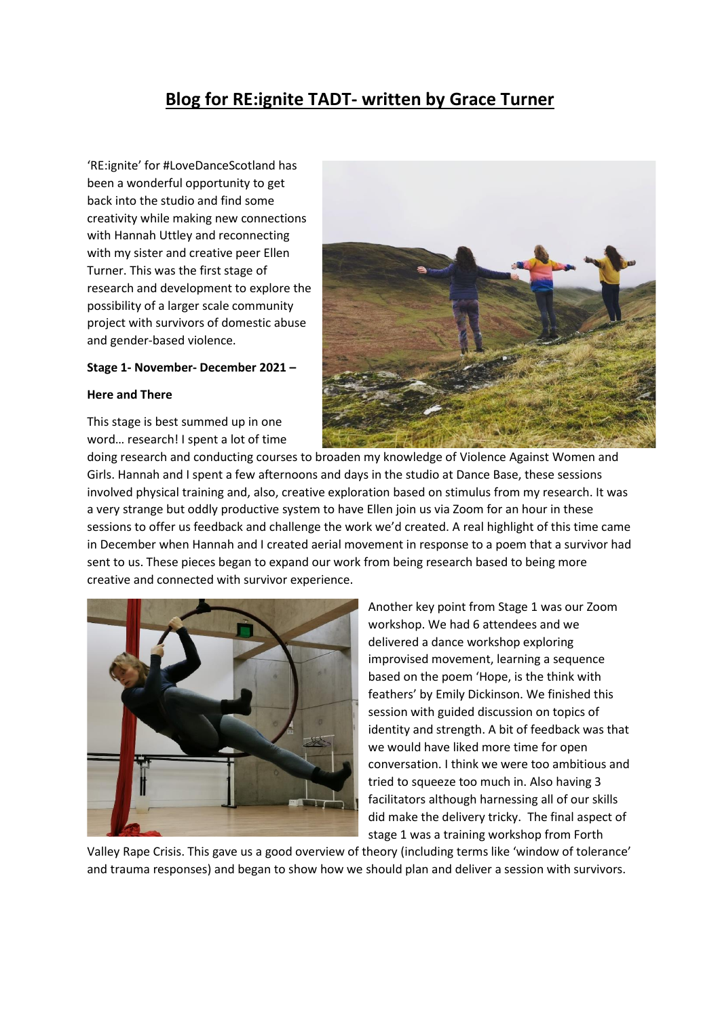## **Blog for RE:ignite TADT- written by Grace Turner**

'RE:ignite' for #LoveDanceScotland has been a wonderful opportunity to get back into the studio and find some creativity while making new connections with Hannah Uttley and reconnecting with my sister and creative peer Ellen Turner. This was the first stage of research and development to explore the possibility of a larger scale community project with survivors of domestic abuse and gender-based violence.

## **Stage 1- November- December 2021 –**

## **Here and There**

This stage is best summed up in one word… research! I spent a lot of time



doing research and conducting courses to broaden my knowledge of Violence Against Women and Girls. Hannah and I spent a few afternoons and days in the studio at Dance Base, these sessions involved physical training and, also, creative exploration based on stimulus from my research. It was a very strange but oddly productive system to have Ellen join us via Zoom for an hour in these sessions to offer us feedback and challenge the work we'd created. A real highlight of this time came in December when Hannah and I created aerial movement in response to a poem that a survivor had sent to us. These pieces began to expand our work from being research based to being more creative and connected with survivor experience.



Another key point from Stage 1 was our Zoom workshop. We had 6 attendees and we delivered a dance workshop exploring improvised movement, learning a sequence based on the poem 'Hope, is the think with feathers' by Emily Dickinson. We finished this session with guided discussion on topics of identity and strength. A bit of feedback was that we would have liked more time for open conversation. I think we were too ambitious and tried to squeeze too much in. Also having 3 facilitators although harnessing all of our skills did make the delivery tricky. The final aspect of stage 1 was a training workshop from Forth

Valley Rape Crisis. This gave us a good overview of theory (including terms like 'window of tolerance' and trauma responses) and began to show how we should plan and deliver a session with survivors.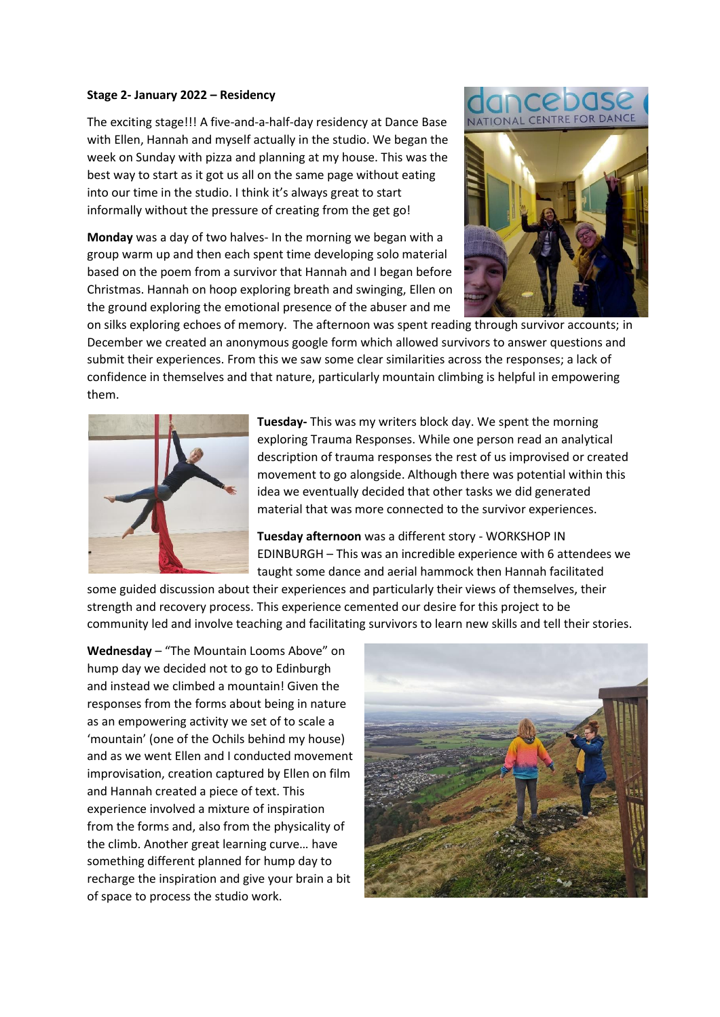## **Stage 2- January 2022 – Residency**

The exciting stage!!! A five-and-a-half-day residency at Dance Base with Ellen, Hannah and myself actually in the studio. We began the week on Sunday with pizza and planning at my house. This was the best way to start as it got us all on the same page without eating into our time in the studio. I think it's always great to start informally without the pressure of creating from the get go!

**Monday** was a day of two halves- In the morning we began with a group warm up and then each spent time developing solo material based on the poem from a survivor that Hannah and I began before Christmas. Hannah on hoop exploring breath and swinging, Ellen on the ground exploring the emotional presence of the abuser and me





on silks exploring echoes of memory. The afternoon was spent reading through survivor accounts; in December we created an anonymous google form which allowed survivors to answer questions and submit their experiences. From this we saw some clear similarities across the responses; a lack of confidence in themselves and that nature, particularly mountain climbing is helpful in empowering them.



**Tuesday-** This was my writers block day. We spent the morning exploring Trauma Responses. While one person read an analytical description of trauma responses the rest of us improvised or created movement to go alongside. Although there was potential within this idea we eventually decided that other tasks we did generated material that was more connected to the survivor experiences.

**Tuesday afternoon** was a different story - WORKSHOP IN EDINBURGH – This was an incredible experience with 6 attendees we taught some dance and aerial hammock then Hannah facilitated

some guided discussion about their experiences and particularly their views of themselves, their strength and recovery process. This experience cemented our desire for this project to be community led and involve teaching and facilitating survivors to learn new skills and tell their stories.

**Wednesday** – "The Mountain Looms Above" on hump day we decided not to go to Edinburgh and instead we climbed a mountain! Given the responses from the forms about being in nature as an empowering activity we set of to scale a 'mountain' (one of the Ochils behind my house) and as we went Ellen and I conducted movement improvisation, creation captured by Ellen on film and Hannah created a piece of text. This experience involved a mixture of inspiration from the forms and, also from the physicality of the climb. Another great learning curve… have something different planned for hump day to recharge the inspiration and give your brain a bit of space to process the studio work.